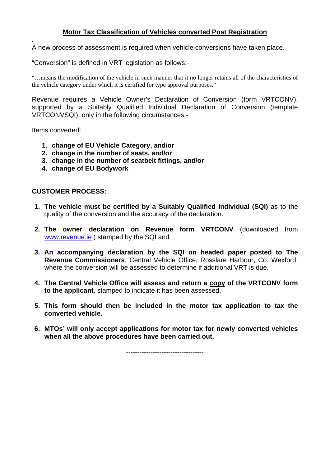# **Motor Tax Classification of Vehicles converted Post Registration**

A new process of assessment is required when vehicle conversions have taken place.

"Conversion" is defined in VRT legislation as follows:-

"…means the modification of the vehicle in such manner that it no longer retains all of the characteristics of the vehicle category under which it is certified for type approval purposes."

Revenue requires a Vehicle Owner's Declaration of Conversion (form VRTCONV), supported by a Suitably Qualified Individual Declaration of Conversion (template VRTCONVSQI), only in the following circumstances:-

Items converted:

**.** 

- **1. change of EU Vehicle Category, and/or**
- **2. change in the number of seats, and/or**
- **3. change in the number of seatbelt fittings, and/or**
- **4. change of EU Bodywork**

#### **CUSTOMER PROCESS:**

- **1.** T**he vehicle must be certified by a Suitably Qualified Individual (SQI)** as to the quality of the conversion and the accuracy of the declaration.
- **2. The owner declaration on Revenue form VRTCONV** (downloaded from www.revenue.ie ) stamped by the SQI and
- **3. An accompanying declaration by the SQI on headed paper posted to The Revenue Commissioners**, Central Vehicle Office, Rosslare Harbour, Co. Wexford, where the conversion will be assessed to determine if additional VRT is due.
- **4. The Central Vehicle Office will assess and return a copy of the VRTCONV form to the applicant**, stamped to indicate it has been assessed.
- **5. This form should then be included in the motor tax application to tax the converted vehicle.**
- **6. MTOs' will only accept applications for motor tax for newly converted vehicles when all the above procedures have been carried out.**

-----------------------------------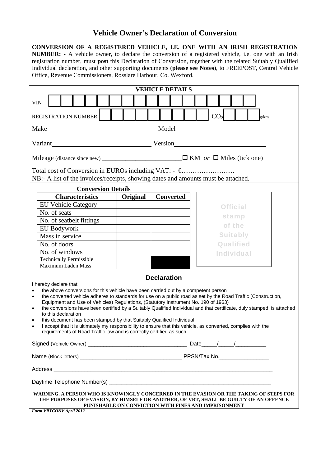# **Vehicle Owner's Declaration of Conversion**

**CONVERSION OF A REGISTERED VEHICLE, I.E. ONE WITH AN IRISH REGISTRATION NUMBER: -** A vehicle owner, to declare the conversion of a registered vehicle, i.e. one with an Irish registration number, must **post** this Declaration of Conversion, together with the related Suitably Qualified Individual declaration, and other supporting documents (**please see Notes**), to FREEPOST, Central Vehicle Office, Revenue Commissioners, Rosslare Harbour, Co. Wexford.

| <b>VEHICLE DETAILS</b>                                                                                                                                                                                                                                                                                                                                                                                                                                                                                                                                                                                                                                                                                                                                                                        |          |                  |                   |  |  |  |  |
|-----------------------------------------------------------------------------------------------------------------------------------------------------------------------------------------------------------------------------------------------------------------------------------------------------------------------------------------------------------------------------------------------------------------------------------------------------------------------------------------------------------------------------------------------------------------------------------------------------------------------------------------------------------------------------------------------------------------------------------------------------------------------------------------------|----------|------------------|-------------------|--|--|--|--|
| <b>VIN</b>                                                                                                                                                                                                                                                                                                                                                                                                                                                                                                                                                                                                                                                                                                                                                                                    |          |                  |                   |  |  |  |  |
| CO <sub>2</sub><br><b>REGISTRATION NUMBER</b><br>g/km                                                                                                                                                                                                                                                                                                                                                                                                                                                                                                                                                                                                                                                                                                                                         |          |                  |                   |  |  |  |  |
|                                                                                                                                                                                                                                                                                                                                                                                                                                                                                                                                                                                                                                                                                                                                                                                               |          |                  |                   |  |  |  |  |
|                                                                                                                                                                                                                                                                                                                                                                                                                                                                                                                                                                                                                                                                                                                                                                                               |          |                  |                   |  |  |  |  |
|                                                                                                                                                                                                                                                                                                                                                                                                                                                                                                                                                                                                                                                                                                                                                                                               |          |                  |                   |  |  |  |  |
| NB:- A list of the invoices/receipts, showing dates and amounts must be attached.                                                                                                                                                                                                                                                                                                                                                                                                                                                                                                                                                                                                                                                                                                             |          |                  |                   |  |  |  |  |
| <b>Conversion Details</b>                                                                                                                                                                                                                                                                                                                                                                                                                                                                                                                                                                                                                                                                                                                                                                     |          |                  |                   |  |  |  |  |
| <b>Characteristics</b>                                                                                                                                                                                                                                                                                                                                                                                                                                                                                                                                                                                                                                                                                                                                                                        | Original | <b>Converted</b> |                   |  |  |  |  |
| <b>EU Vehicle Category</b>                                                                                                                                                                                                                                                                                                                                                                                                                                                                                                                                                                                                                                                                                                                                                                    |          |                  | <b>Official</b>   |  |  |  |  |
| No. of seats                                                                                                                                                                                                                                                                                                                                                                                                                                                                                                                                                                                                                                                                                                                                                                                  |          |                  | stamp             |  |  |  |  |
| No. of seatbelt fittings                                                                                                                                                                                                                                                                                                                                                                                                                                                                                                                                                                                                                                                                                                                                                                      |          |                  | of the            |  |  |  |  |
| <b>EU Bodywork</b>                                                                                                                                                                                                                                                                                                                                                                                                                                                                                                                                                                                                                                                                                                                                                                            |          |                  |                   |  |  |  |  |
| Mass in service                                                                                                                                                                                                                                                                                                                                                                                                                                                                                                                                                                                                                                                                                                                                                                               |          |                  | <b>Suitably</b>   |  |  |  |  |
| No. of doors                                                                                                                                                                                                                                                                                                                                                                                                                                                                                                                                                                                                                                                                                                                                                                                  |          |                  | <b>Qualified</b>  |  |  |  |  |
| No. of windows                                                                                                                                                                                                                                                                                                                                                                                                                                                                                                                                                                                                                                                                                                                                                                                |          |                  | <b>Individual</b> |  |  |  |  |
| <b>Technically Permissible</b><br>Maximum Laden Mass                                                                                                                                                                                                                                                                                                                                                                                                                                                                                                                                                                                                                                                                                                                                          |          |                  |                   |  |  |  |  |
|                                                                                                                                                                                                                                                                                                                                                                                                                                                                                                                                                                                                                                                                                                                                                                                               |          |                  |                   |  |  |  |  |
| <b>Declaration</b><br>I hereby declare that<br>the above conversions for this vehicle have been carried out by a competent person<br>the converted vehicle adheres to standards for use on a public road as set by the Road Traffic (Construction,<br>$\bullet$<br>Equipment and Use of Vehicles) Regulations, (Statutory Instrument No. 190 of 1963)<br>the conversions have been certified by a Suitably Qualified Individual and that certificate, duly stamped, is attached<br>٠<br>to this declaration<br>this document has been stamped by that Suitably Qualified Individual<br>٠<br>I accept that it is ultimately my responsibility to ensure that this vehicle, as converted, complies with the<br>$\bullet$<br>requirements of Road Traffic law and is correctly certified as such |          |                  |                   |  |  |  |  |
|                                                                                                                                                                                                                                                                                                                                                                                                                                                                                                                                                                                                                                                                                                                                                                                               |          |                  |                   |  |  |  |  |
|                                                                                                                                                                                                                                                                                                                                                                                                                                                                                                                                                                                                                                                                                                                                                                                               |          |                  |                   |  |  |  |  |
|                                                                                                                                                                                                                                                                                                                                                                                                                                                                                                                                                                                                                                                                                                                                                                                               |          |                  |                   |  |  |  |  |
|                                                                                                                                                                                                                                                                                                                                                                                                                                                                                                                                                                                                                                                                                                                                                                                               |          |                  |                   |  |  |  |  |
| WARNING. A PERSON WHO IS KNOWINGLY CONCERNED IN THE EVASION OR THE TAKING OF STEPS FOR<br>THE PURPOSES OF EVASION, BY HIMSELF OR ANOTHER, OF VRT, SHALL BE GUILTY OF AN OFFENCE<br>PUNISHABLE ON CONVICTION WITH FINES AND IMPRISONMENT                                                                                                                                                                                                                                                                                                                                                                                                                                                                                                                                                       |          |                  |                   |  |  |  |  |
| Form VRTCONV April 2012                                                                                                                                                                                                                                                                                                                                                                                                                                                                                                                                                                                                                                                                                                                                                                       |          |                  |                   |  |  |  |  |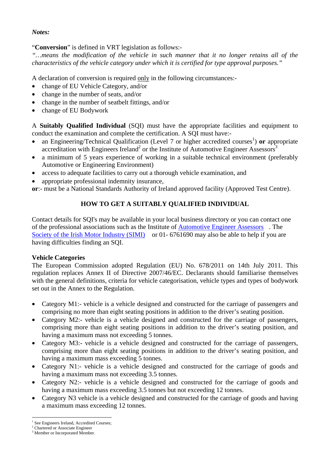## *Notes:*

## "**Conversion**" is defined in VRT legislation as follows:-

*"…means the modification of the vehicle in such manner that it no longer retains all of the characteristics of the vehicle category under which it is certified for type approval purposes."* 

A declaration of conversion is required only in the following circumstances:-

- change of EU Vehicle Category, and/or
- change in the number of seats, and/or
- change in the number of seatbelt fittings, and/or
- change of EU Bodywork

A **Suitably Qualified Individual** (SQI) must have the appropriate facilities and equipment to conduct the examination and complete the certification. A SQI must have:-

- an Engineering/Technical Qualification (Level 7 or higher accredited courses<sup>1</sup>) or appropriate accreditation with Engineers Ireland<sup>2</sup> or the Institute of Automotive Engineer Assessors<sup>3</sup>
- a minimum of 5 years experience of working in a suitable technical environment (preferably Automotive or Engineering Environment)
- access to adequate facilities to carry out a thorough vehicle examination, and
- appropriate professional indemnity insurance,

**or**:- must be a National Standards Authority of Ireland approved facility (Approved Test Centre).

# **HOW TO GET A SUITABLY QUALIFIED INDIVIDUAL**

Contact details for SQI's may be available in your local business directory or you can contact one of the professional associations such as the Institute of Automotive Engineer Assessors . The Society of the Irish Motor Industry (SIMI) or 01-6761690 may also be able to help if you are having difficulties finding an SQI.

# **Vehicle Categories**

The European Commission adopted Regulation (EU) No. 678/2011 on 14th July 2011. This regulation replaces Annex II of Directive 2007/46/EC. Declarants should familiarise themselves with the general definitions, criteria for vehicle categorisation, vehicle types and types of bodywork set out in the Annex to the Regulation.

- Category M1:- vehicle is a vehicle designed and constructed for the carriage of passengers and comprising no more than eight seating positions in addition to the driver's seating position.
- Category M2:- vehicle is a vehicle designed and constructed for the carriage of passengers, comprising more than eight seating positions in addition to the driver's seating position, and having a maximum mass not exceeding 5 tonnes.
- Category M3:- vehicle is a vehicle designed and constructed for the carriage of passengers, comprising more than eight seating positions in addition to the driver's seating position, and having a maximum mass exceeding 5 tonnes.
- Category N1:- vehicle is a vehicle designed and constructed for the carriage of goods and having a maximum mass not exceeding 3.5 tonnes.
- Category N2:- vehicle is a vehicle designed and constructed for the carriage of goods and having a maximum mass exceeding 3.5 tonnes but not exceeding 12 tonnes.
- Category N3 vehicle is a vehicle designed and constructed for the carriage of goods and having a maximum mass exceeding 12 tonnes.

 $\overline{a}$ 

<sup>1</sup> See Engineers Ireland, Accredited Courses;

<sup>2</sup> Chartered or Associate Engineer

<sup>&</sup>lt;sup>3</sup> Member or Incorporated Member.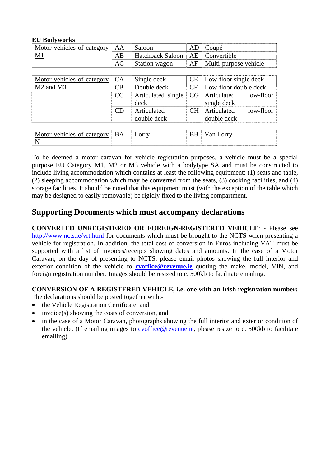#### **EU Bodyworks**

| Motor vehicles of category        | AA        | Saloon                  | AD        | Coupé                    |  |  |  |
|-----------------------------------|-----------|-------------------------|-----------|--------------------------|--|--|--|
| $M1$                              | AB        | <b>Hatchback Saloon</b> | AE        | Convertible              |  |  |  |
|                                   | AC        | Station wagon           | AF        | Multi-purpose vehicle    |  |  |  |
|                                   |           |                         |           |                          |  |  |  |
| Motor vehicles of category        | <b>CA</b> | Single deck             | CE        | Low-floor single deck    |  |  |  |
| M <sub>2</sub> and M <sub>3</sub> | CB        | Double deck             | <b>CF</b> | Low-floor double deck    |  |  |  |
|                                   | CC        | Articulated single      | CG        | Articulated<br>low-floor |  |  |  |
|                                   |           | deck                    |           | single deck              |  |  |  |
|                                   | CD        | Articulated             | CH.       | low-floor<br>Articulated |  |  |  |
|                                   |           | double deck             |           | double deck              |  |  |  |
|                                   |           |                         |           |                          |  |  |  |
| Motor vehicles of category        | BA        | Lorry                   | <b>BB</b> | Van Lorry                |  |  |  |
| N                                 |           |                         |           |                          |  |  |  |

To be deemed a motor caravan for vehicle registration purposes, a vehicle must be a special purpose EU Category M1, M2 or M3 vehicle with a bodytype SA and must be constructed to include living accommodation which contains at least the following equipment: (1) seats and table, (2) sleeping accommodation which may be converted from the seats, (3) cooking facilities, and (4) storage facilities. It should be noted that this equipment must (with the exception of the table which may be designed to easily removable) be rigidly fixed to the living compartment.

# **Supporting Documents which must accompany declarations**

**CONVERTED UNREGISTERED OR FOREIGN-REGISTERED VEHICLE**: - Please see http://www.ncts.ie/vrt.html for documents which must be brought to the NCTS when presenting a vehicle for registration. In addition, the total cost of conversion in Euros including VAT must be supported with a list of invoices/receipts showing dates and amounts. In the case of a Motor Caravan, on the day of presenting to NCTS, please email photos showing the full interior and exterior condition of the vehicle to **cvoffice@revenue.ie** quoting the make, model, VIN, and foreign registration number. Images should be resized to c. 500kb to facilitate emailing.

#### **CONVERSION OF A REGISTERED VEHICLE, i.e. one with an Irish registration number:**

The declarations should be posted together with:-

- the Vehicle Registration Certificate, and
- invoice(s) showing the costs of conversion, and
- in the case of a Motor Caravan, photographs showing the full interior and exterior condition of the vehicle. (If emailing images to cvoffice@revenue.ie, please resize to c. 500kb to facilitate emailing).